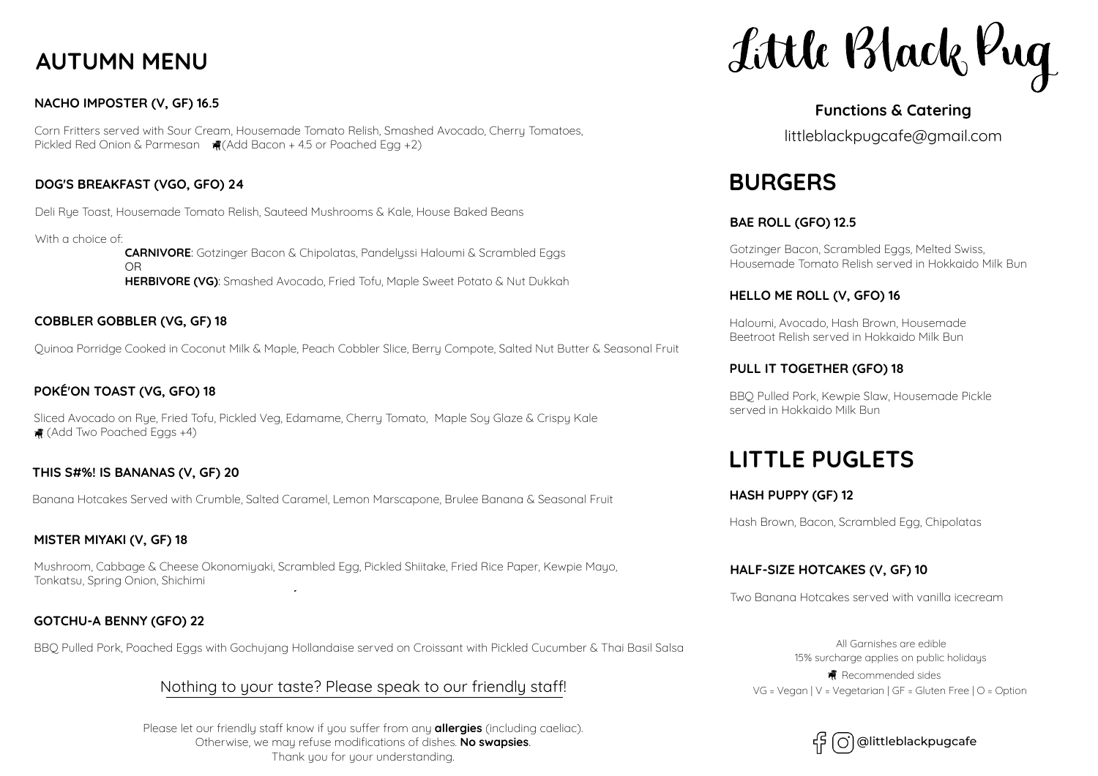# **AUTUMN MENU**

## **NACHO IMPOSTER (V, GF) 16.5**

Corn Fritters served with Sour Cream, Housemade Tomato Relish, Smashed Avocado, Cherry Tomatoes, Pickled Red Onion & Parmesan  $\ddot{H}$  (Add Bacon + 4.5 or Poached Egg +2)

## **DOG'S BREAKFAST (VGO, GFO) 24**

Deli Rye Toast, Housemade Tomato Relish, Sauteed Mushrooms & Kale, House Baked Beans

With a choice of: **CARNIVORE**: Gotzinger Bacon & Chipolatas, Pandelyssi Haloumi & Scrambled Eggs **OR** STREET STREET AND TO BE SEEN ASSESSED. **HERBIVORE (VG)**: Smashed Avocado, Fried Tofu, Maple Sweet Potato & Nut Dukkah

## **COBBLER GOBBLER (VG, GF) 18**

Quinoa Porridge Cooked in Coconut Milk & Maple, Peach Cobbler Slice, Berry Compote, Salted Nut Butter & Seasonal Fruit

# **POKE'ON TOAST (VG, GFO) 18**

Sliced Avocado on Rue, Fried Tofu, Pickled Veg, Edamame, Cherru Tomato, Maple Sou Glaze & Crispu Kale (Add Two Poached Eggs +4)

## **THIS S#%! IS BANANAS (V, GF) 20**

Banana Hotcakes Served with Crumble, Salted Caramel, Lemon Marscapone, Brulee Banana & Seasonal Fruit

## **MISTER MIYAKI (V, GF) 18**

Mushroom, Cabbage & Cheese Okonomiyaki, Scrambled Egg, Pickled Shiitake, Fried Rice Paper, Kewpie Mayo, Tonkatsu, Spring Onion, Shichimi

## **GOTCHU-A BENNY (GFO) 22**

BBQ Pulled Pork, Poached Eggs with Gochujang Hollandaise served on Croissant with Pickled Cucumber & Thai Basil Salsa

# Nothing to your taste? Please speak to our friendly staff!

Please let our friendly staff know if you suffer from any **allergies** (including caeliac). Otherwise, we may refuse modifications of dishes. **No swapsies**. Thank you for your understanding.

Little Black Rug

# **Functions & Catering**

littleblackpugcafe@gmail.com

# **BURGERS**

## **BAE ROLL (GFO) 12.5**

Gotzinger Bacon, Scrambled Eggs, Melted Swiss, Housemade Tomato Relish served in Hokkaido Milk Bun

## **HELLO ME ROLL (V, GFO) 16**

Haloumi, Avocado, Hash Brown, Housemade Beetroot Relish served in Hokkaido Milk Bun

## **PULL IT TOGETHER (GFO) 18**

BBQ Pulled Pork, Kewpie Slaw, Housemade Pickle served in Hokkaido Milk Bun

# **LITTLE PUGLETS**

## **HASH PUPPY (GF) 12**

Hash Brown, Bacon, Scrambled Egg, Chipolatas

## **HALF-SIZE HOTCAKES (V, GF) 10**

Two Banana Hotcakes served with vanilla icecream

All Garnishes are edible 15% surcharge applies on public holidays VG = Vegan | V = Vegetarian | GF = Gluten Free | O = Option **R** Recommended sides